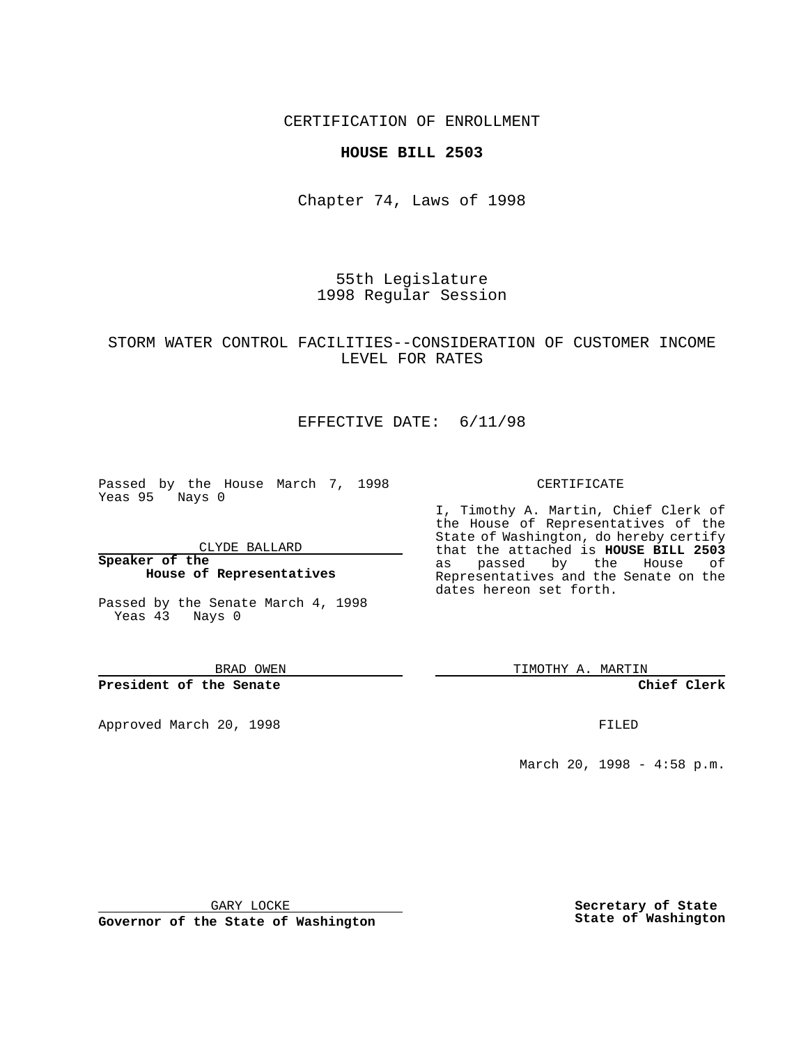CERTIFICATION OF ENROLLMENT

### **HOUSE BILL 2503**

Chapter 74, Laws of 1998

55th Legislature 1998 Regular Session

## STORM WATER CONTROL FACILITIES--CONSIDERATION OF CUSTOMER INCOME LEVEL FOR RATES

# EFFECTIVE DATE: 6/11/98

Passed by the House March 7, 1998 Yeas 95 Nays 0

CLYDE BALLARD

**Speaker of the House of Representatives**

Passed by the Senate March 4, 1998 Yeas 43 Nays 0

BRAD OWEN

**President of the Senate**

Approved March 20, 1998 **FILED** 

#### CERTIFICATE

I, Timothy A. Martin, Chief Clerk of the House of Representatives of the State of Washington, do hereby certify that the attached is **HOUSE BILL 2503** as passed by the House of Representatives and the Senate on the dates hereon set forth.

TIMOTHY A. MARTIN

**Chief Clerk**

March 20, 1998 - 4:58 p.m.

GARY LOCKE

**Governor of the State of Washington**

**Secretary of State State of Washington**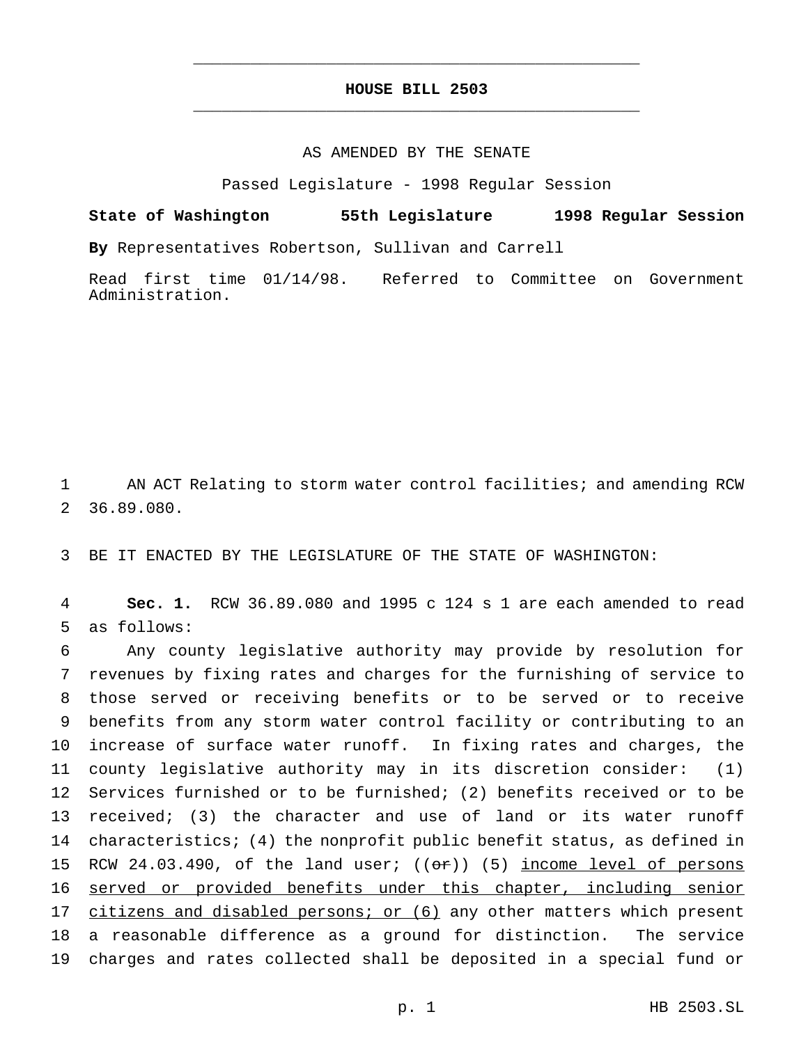# **HOUSE BILL 2503** \_\_\_\_\_\_\_\_\_\_\_\_\_\_\_\_\_\_\_\_\_\_\_\_\_\_\_\_\_\_\_\_\_\_\_\_\_\_\_\_\_\_\_\_\_\_\_

\_\_\_\_\_\_\_\_\_\_\_\_\_\_\_\_\_\_\_\_\_\_\_\_\_\_\_\_\_\_\_\_\_\_\_\_\_\_\_\_\_\_\_\_\_\_\_

### AS AMENDED BY THE SENATE

Passed Legislature - 1998 Regular Session

**State of Washington 55th Legislature 1998 Regular Session By** Representatives Robertson, Sullivan and Carrell

Read first time 01/14/98. Referred to Committee on Government Administration.

1 AN ACT Relating to storm water control facilities; and amending RCW 2 36.89.080.

3 BE IT ENACTED BY THE LEGISLATURE OF THE STATE OF WASHINGTON:

4 **Sec. 1.** RCW 36.89.080 and 1995 c 124 s 1 are each amended to read 5 as follows:

 Any county legislative authority may provide by resolution for revenues by fixing rates and charges for the furnishing of service to those served or receiving benefits or to be served or to receive benefits from any storm water control facility or contributing to an increase of surface water runoff. In fixing rates and charges, the county legislative authority may in its discretion consider: (1) Services furnished or to be furnished; (2) benefits received or to be received; (3) the character and use of land or its water runoff characteristics; (4) the nonprofit public benefit status, as defined in 15 RCW 24.03.490, of the land user;  $((\sigma \cdot r))$  (5) income level of persons 16 served or provided benefits under this chapter, including senior 17 citizens and disabled persons; or (6) any other matters which present a reasonable difference as a ground for distinction. The service charges and rates collected shall be deposited in a special fund or